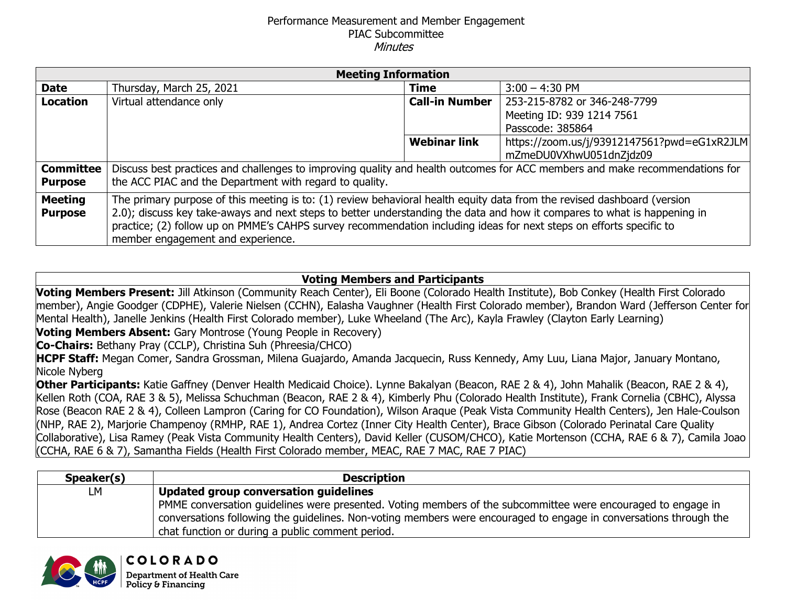## Performance Measurement and Member Engagement PIAC Subcommittee **Minutes**

| <b>Meeting Information</b>         |                                                                                                                                                                                                                                                                                                                                                                                                                 |                     |                                                                               |  |  |  |  |
|------------------------------------|-----------------------------------------------------------------------------------------------------------------------------------------------------------------------------------------------------------------------------------------------------------------------------------------------------------------------------------------------------------------------------------------------------------------|---------------------|-------------------------------------------------------------------------------|--|--|--|--|
| <b>Date</b>                        | Thursday, March 25, 2021                                                                                                                                                                                                                                                                                                                                                                                        | <b>Time</b>         | $3:00 - 4:30$ PM                                                              |  |  |  |  |
| <b>Location</b>                    | <b>Call-in Number</b><br>Virtual attendance only                                                                                                                                                                                                                                                                                                                                                                |                     | 253-215-8782 or 346-248-7799<br>Meeting ID: 939 1214 7561<br>Passcode: 385864 |  |  |  |  |
|                                    |                                                                                                                                                                                                                                                                                                                                                                                                                 | <b>Webinar link</b> | https://zoom.us/j/93912147561?pwd=eG1xR2JLM<br>mZmeDU0VXhwU051dnZjdz09        |  |  |  |  |
| <b>Committee</b><br><b>Purpose</b> | Discuss best practices and challenges to improving quality and health outcomes for ACC members and make recommendations for<br>the ACC PIAC and the Department with regard to quality.                                                                                                                                                                                                                          |                     |                                                                               |  |  |  |  |
| <b>Meeting</b><br><b>Purpose</b>   | The primary purpose of this meeting is to: (1) review behavioral health equity data from the revised dashboard (version<br>2.0); discuss key take-aways and next steps to better understanding the data and how it compares to what is happening in<br>practice; (2) follow up on PMME's CAHPS survey recommendation including ideas for next steps on efforts specific to<br>member engagement and experience. |                     |                                                                               |  |  |  |  |

## **Voting Members and Participants**

**Voting Members Present:** Jill Atkinson (Community Reach Center), Eli Boone (Colorado Health Institute), Bob Conkey (Health First Colorado member), Angie Goodger (CDPHE), Valerie Nielsen (CCHN), Ealasha Vaughner (Health First Colorado member), Brandon Ward (Jefferson Center for Mental Health), Janelle Jenkins (Health First Colorado member), Luke Wheeland (The Arc), Kayla Frawley (Clayton Early Learning) **Voting Members Absent:** Gary Montrose (Young People in Recovery)

**Co-Chairs:** Bethany Pray (CCLP), Christina Suh (Phreesia/CHCO)

**COLORADO Department of Health Care** Policy & Financing

**HCPF Staff:** Megan Comer, Sandra Grossman, Milena Guajardo, Amanda Jacquecin, Russ Kennedy, Amy Luu, Liana Major, January Montano, Nicole Nyberg

**Other Participants:** Katie Gaffney (Denver Health Medicaid Choice). Lynne Bakalyan (Beacon, RAE 2 & 4), John Mahalik (Beacon, RAE 2 & 4), Kellen Roth (COA, RAE 3 & 5), Melissa Schuchman (Beacon, RAE 2 & 4), Kimberly Phu (Colorado Health Institute), Frank Cornelia (CBHC), Alyssa Rose (Beacon RAE 2 & 4), Colleen Lampron (Caring for CO Foundation), Wilson Araque (Peak Vista Community Health Centers), Jen Hale-Coulson (NHP, RAE 2), Marjorie Champenoy (RMHP, RAE 1), Andrea Cortez (Inner City Health Center), Brace Gibson (Colorado Perinatal Care Quality Collaborative), Lisa Ramey (Peak Vista Community Health Centers), David Keller (CUSOM/CHCO), Katie Mortenson (CCHA, RAE 6 & 7), Camila Joao (CCHA, RAE 6 & 7), Samantha Fields (Health First Colorado member, MEAC, RAE 7 MAC, RAE 7 PIAC)

| Speaker(s) | <b>Description</b>                                                                                                                                                                                                                                                                    |
|------------|---------------------------------------------------------------------------------------------------------------------------------------------------------------------------------------------------------------------------------------------------------------------------------------|
| LМ         | Updated group conversation guidelines                                                                                                                                                                                                                                                 |
|            | PMME conversation guidelines were presented. Voting members of the subcommittee were encouraged to engage in<br>conversations following the guidelines. Non-voting members were encouraged to engage in conversations through the<br>chat function or during a public comment period. |

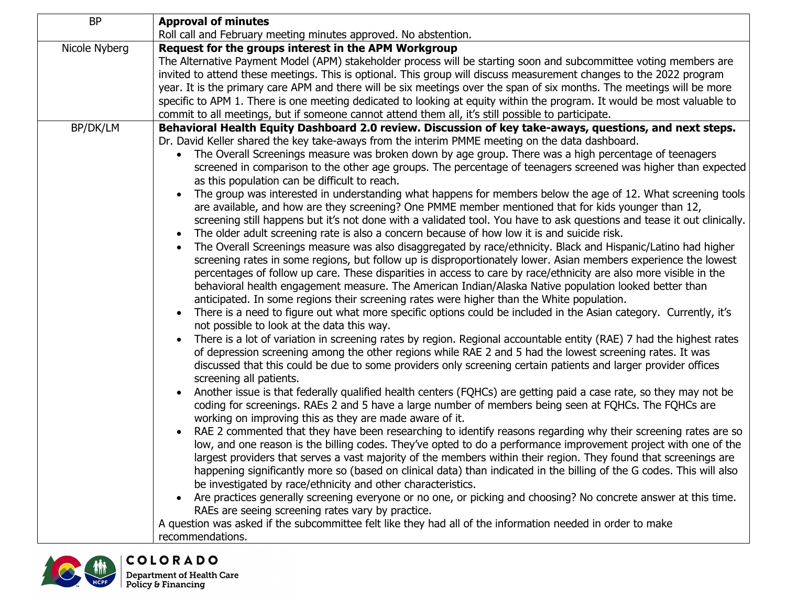| <b>Approval of minutes</b>                                                                                                                |  |  |  |
|-------------------------------------------------------------------------------------------------------------------------------------------|--|--|--|
| Roll call and February meeting minutes approved. No abstention.                                                                           |  |  |  |
| Request for the groups interest in the APM Workgroup                                                                                      |  |  |  |
| The Alternative Payment Model (APM) stakeholder process will be starting soon and subcommittee voting members are                         |  |  |  |
| invited to attend these meetings. This is optional. This group will discuss measurement changes to the 2022 program                       |  |  |  |
| year. It is the primary care APM and there will be six meetings over the span of six months. The meetings will be more                    |  |  |  |
| specific to APM 1. There is one meeting dedicated to looking at equity within the program. It would be most valuable to                   |  |  |  |
| commit to all meetings, but if someone cannot attend them all, it's still possible to participate.                                        |  |  |  |
| Behavioral Health Equity Dashboard 2.0 review. Discussion of key take-aways, questions, and next steps.                                   |  |  |  |
| Dr. David Keller shared the key take-aways from the interim PMME meeting on the data dashboard.                                           |  |  |  |
| The Overall Screenings measure was broken down by age group. There was a high percentage of teenagers<br>$\bullet$                        |  |  |  |
| screened in comparison to the other age groups. The percentage of teenagers screened was higher than expected                             |  |  |  |
| as this population can be difficult to reach.                                                                                             |  |  |  |
| The group was interested in understanding what happens for members below the age of 12. What screening tools                              |  |  |  |
| are available, and how are they screening? One PMME member mentioned that for kids younger than 12,                                       |  |  |  |
| screening still happens but it's not done with a validated tool. You have to ask questions and tease it out clinically.                   |  |  |  |
| The older adult screening rate is also a concern because of how low it is and suicide risk.                                               |  |  |  |
| The Overall Screenings measure was also disaggregated by race/ethnicity. Black and Hispanic/Latino had higher                             |  |  |  |
| screening rates in some regions, but follow up is disproportionately lower. Asian members experience the lowest                           |  |  |  |
| percentages of follow up care. These disparities in access to care by race/ethnicity are also more visible in the                         |  |  |  |
| behavioral health engagement measure. The American Indian/Alaska Native population looked better than                                     |  |  |  |
| anticipated. In some regions their screening rates were higher than the White population.                                                 |  |  |  |
| There is a need to figure out what more specific options could be included in the Asian category. Currently, it's                         |  |  |  |
| not possible to look at the data this way.                                                                                                |  |  |  |
| There is a lot of variation in screening rates by region. Regional accountable entity (RAE) 7 had the highest rates                       |  |  |  |
| of depression screening among the other regions while RAE 2 and 5 had the lowest screening rates. It was                                  |  |  |  |
| discussed that this could be due to some providers only screening certain patients and larger provider offices<br>screening all patients. |  |  |  |
| Another issue is that federally qualified health centers (FQHCs) are getting paid a case rate, so they may not be                         |  |  |  |
| coding for screenings. RAEs 2 and 5 have a large number of members being seen at FQHCs. The FQHCs are                                     |  |  |  |
| working on improving this as they are made aware of it.                                                                                   |  |  |  |
| RAE 2 commented that they have been researching to identify reasons regarding why their screening rates are so                            |  |  |  |
| low, and one reason is the billing codes. They've opted to do a performance improvement project with one of the                           |  |  |  |
| largest providers that serves a vast majority of the members within their region. They found that screenings are                          |  |  |  |
| happening significantly more so (based on clinical data) than indicated in the billing of the G codes. This will also                     |  |  |  |
| be investigated by race/ethnicity and other characteristics.                                                                              |  |  |  |
| Are practices generally screening everyone or no one, or picking and choosing? No concrete answer at this time.                           |  |  |  |
| RAEs are seeing screening rates vary by practice.                                                                                         |  |  |  |
| A question was asked if the subcommittee felt like they had all of the information needed in order to make                                |  |  |  |
| recommendations.                                                                                                                          |  |  |  |
|                                                                                                                                           |  |  |  |

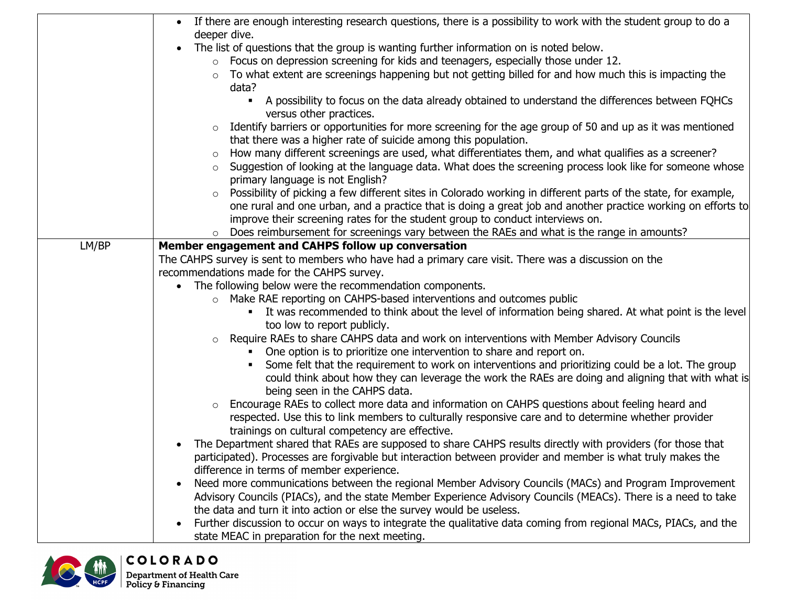|       | • If there are enough interesting research questions, there is a possibility to work with the student group to do a                          |
|-------|----------------------------------------------------------------------------------------------------------------------------------------------|
|       | deeper dive.                                                                                                                                 |
|       | The list of questions that the group is wanting further information on is noted below.                                                       |
|       | $\circ$ Focus on depression screening for kids and teenagers, especially those under 12.                                                     |
|       | To what extent are screenings happening but not getting billed for and how much this is impacting the<br>$\circ$<br>data?                    |
|       | A possibility to focus on the data already obtained to understand the differences between FQHCs<br>$\blacksquare$<br>versus other practices. |
|       | $\circ$ Identify barriers or opportunities for more screening for the age group of 50 and up as it was mentioned                             |
|       | that there was a higher rate of suicide among this population.                                                                               |
|       | How many different screenings are used, what differentiates them, and what qualifies as a screener?<br>$\circ$                               |
|       | Suggestion of looking at the language data. What does the screening process look like for someone whose                                      |
|       | primary language is not English?                                                                                                             |
|       | Possibility of picking a few different sites in Colorado working in different parts of the state, for example,<br>$\circ$                    |
|       | one rural and one urban, and a practice that is doing a great job and another practice working on efforts to                                 |
|       | improve their screening rates for the student group to conduct interviews on.                                                                |
|       | Does reimbursement for screenings vary between the RAEs and what is the range in amounts?<br>$\circ$                                         |
| LM/BP | Member engagement and CAHPS follow up conversation                                                                                           |
|       | The CAHPS survey is sent to members who have had a primary care visit. There was a discussion on the                                         |
|       | recommendations made for the CAHPS survey.                                                                                                   |
|       | The following below were the recommendation components.<br>$\bullet$                                                                         |
|       | o Make RAE reporting on CAHPS-based interventions and outcomes public                                                                        |
|       | It was recommended to think about the level of information being shared. At what point is the level<br>$\blacksquare$                        |
|       | too low to report publicly.                                                                                                                  |
|       | Require RAEs to share CAHPS data and work on interventions with Member Advisory Councils<br>$\circ$                                          |
|       | One option is to prioritize one intervention to share and report on.<br>$\blacksquare$                                                       |
|       | Some felt that the requirement to work on interventions and prioritizing could be a lot. The group                                           |
|       | could think about how they can leverage the work the RAEs are doing and aligning that with what is<br>being seen in the CAHPS data.          |
|       | Encourage RAEs to collect more data and information on CAHPS questions about feeling heard and<br>$\circ$                                    |
|       | respected. Use this to link members to culturally responsive care and to determine whether provider                                          |
|       | trainings on cultural competency are effective.                                                                                              |
|       | The Department shared that RAEs are supposed to share CAHPS results directly with providers (for those that                                  |
|       | participated). Processes are forgivable but interaction between provider and member is what truly makes the                                  |
|       | difference in terms of member experience.                                                                                                    |
|       | Need more communications between the regional Member Advisory Councils (MACs) and Program Improvement                                        |
|       | Advisory Councils (PIACs), and the state Member Experience Advisory Councils (MEACs). There is a need to take                                |
|       | the data and turn it into action or else the survey would be useless.                                                                        |
|       | Further discussion to occur on ways to integrate the qualitative data coming from regional MACs, PIACs, and the                              |
|       | state MEAC in preparation for the next meeting.                                                                                              |